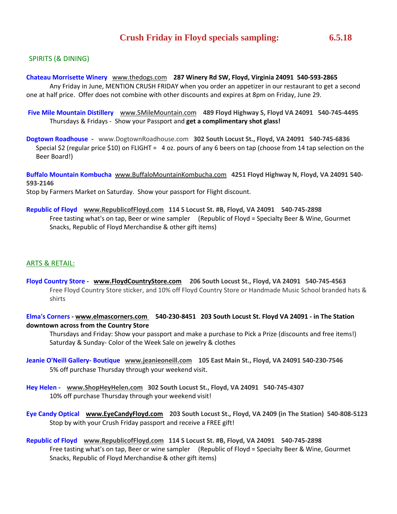# SPIRITS (& DINING)

### **Chateau Morrisette Winery** [www.thedogs.com](http://www.thedogs.com/) **287 Winery Rd SW, Floyd, Virginia 24091 540-593-2865**

Any Friday in June, MENTION CRUSH FRIDAY when you order an appetizer in our restaurant to get a second one at half price. Offer does not combine with other discounts and expires at 8pm on Friday, June 29.

**Five Mile Mountain Distillery** [www.5MileMountain.com](http://www.5milemountain.com/) **489 Floyd Highway S, Floyd VA 24091 540-745-4495**  Thursdays & Fridays - Show your Passport and **get a complimentary shot glass!** 

**Dogtown Roadhouse -** www.DogtownRoadhouse.com **302 South Locust St., Floyd, VA 24091 540-745-6836**  Special \$2 (regular price \$10) on FLIGHT = 4 oz. pours of any 6 beers on tap (choose from 14 tap selection on the Beer Board!)

**Buffalo Mountain Kombucha** [www.BuffaloMountainKombucha.com](http://www.buffalomountainkombucha.com/) **4251 Floyd Highway N, Floyd, VA 24091 540- 593-2146**  Stop by Farmers Market on Saturday. Show your passport for Flight discount.

**Republic of Floyd [www.RepublicofFloyd.com](http://www.republicoffloyd.com/) 114 S Locust St. #B, Floyd, VA 24091 540-745-2898**  Free tasting what's on tap, Beer or wine sampler (Republic of Floyd = Specialty Beer & Wine, Gourmet Snacks, Republic of Floyd Merchandise & other gift items)

## ARTS & RETAIL:

**Floyd Country Store - [www.FloydCountryStore.com](http://www.floydcountrystore.com/) 206 South Locust St., Floyd, VA 24091 540-745-4563** Free Floyd Country Store sticker, and 10% off Floyd Country Store or Handmade Music School branded hats & shirts

**Elma's Corners - [www.elmascorners.com](http://www.elmascorners.com/) 540-230-8451 203 South Locust St. Floyd VA 24091 - in The Station downtown across from the Country Store**

Thursdays and Friday: Show your passport and make a purchase to Pick a Prize (discounts and free items!) Saturday & Sunday- Color of the Week Sale on jewelry & clothes

- **Jeanie O'Neill Gallery- Boutique [www.jeanieoneill.com](http://www.jeanieoneill.com/) 105 East Main St., Floyd, VA 24091 540-230-7546**  5% off purchase Thursday through your weekend visit.
- **Hey Helen [www.ShopHeyHelen.com](http://www.shopheyhelen.com/) 302 South Locust St., Floyd, VA 24091 540-745-4307**  10% off purchase Thursday through your weekend visit!
- **Eye Candy Optical [www.EyeCandyFloyd.com](http://www.eyecandyfloyd.com/) 203 South Locust St., Floyd, VA 2409 (in The Station) 540-808-5123**  Stop by with your Crush Friday passport and receive a FREE gift!
- **Republic of Floyd [www.RepublicofFloyd.com](http://www.republicoffloyd.com/) 114 S Locust St. #B, Floyd, VA 24091 540-745-2898**  Free tasting what's on tap, Beer or wine sampler (Republic of Floyd = Specialty Beer & Wine, Gourmet Snacks, Republic of Floyd Merchandise & other gift items)